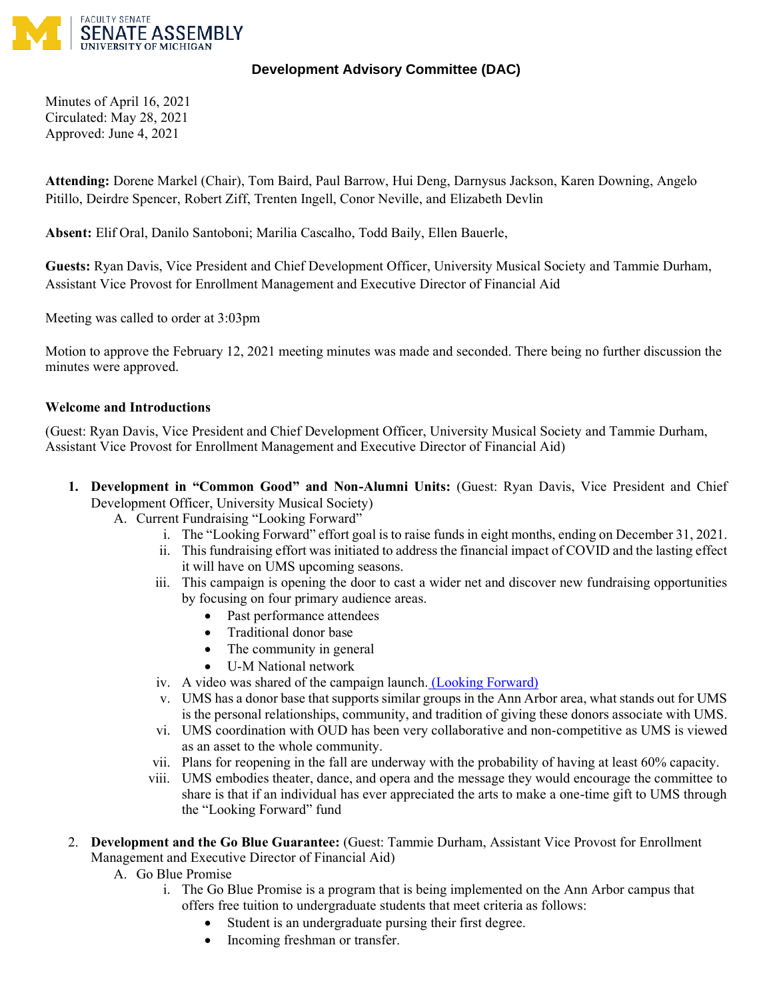

## **Development Advisory Committee (DAC)**

Minutes of April 16, 2021 Circulated: May 28, 2021 Approved: June 4, 2021

**Attending:** Dorene Markel (Chair), Tom Baird, Paul Barrow, Hui Deng, Darnysus Jackson, Karen Downing, Angelo Pitillo, Deirdre Spencer, Robert Ziff, Trenten Ingell, Conor Neville, and Elizabeth Devlin

**Absent:** Elif Oral, Danilo Santoboni; Marilia Cascalho, Todd Baily, Ellen Bauerle,

**Guests:** Ryan Davis, Vice President and Chief Development Officer, University Musical Society and Tammie Durham, Assistant Vice Provost for Enrollment Management and Executive Director of Financial Aid

Meeting was called to order at 3:03pm

Motion to approve the February 12, 2021 meeting minutes was made and seconded. There being no further discussion the minutes were approved.

## **Welcome and Introductions**

(Guest: Ryan Davis, Vice President and Chief Development Officer, University Musical Society and Tammie Durham, Assistant Vice Provost for Enrollment Management and Executive Director of Financial Aid)

- **1. Development in "Common Good" and Non-Alumni Units:** (Guest: Ryan Davis, Vice President and Chief Development Officer, University Musical Society)
	- A. Current Fundraising "Looking Forward"
		- i. The "Looking Forward" effort goal is to raise funds in eight months, ending on December 31, 2021.
		- ii. This fundraising effort was initiated to address the financial impact of COVID and the lasting effect it will have on UMS upcoming seasons.
		- iii. This campaign is opening the door to cast a wider net and discover new fundraising opportunities by focusing on four primary audience areas.
			- Past performance attendees
			- Traditional donor base
			- The community in general
			- U-M National network
		- iv. A video was shared of the campaign launch. [\(Looking Forward\)](https://ums.org/support/ums-forward-fund/)
		- v. UMS has a donor base that supports similar groups in the Ann Arbor area, what stands out for UMS is the personal relationships, community, and tradition of giving these donors associate with UMS.
		- vi. UMS coordination with OUD has been very collaborative and non-competitive as UMS is viewed as an asset to the whole community.
		- vii. Plans for reopening in the fall are underway with the probability of having at least 60% capacity.
		- viii. UMS embodies theater, dance, and opera and the message they would encourage the committee to share is that if an individual has ever appreciated the arts to make a one-time gift to UMS through the "Looking Forward" fund
- 2. **Development and the Go Blue Guarantee:** (Guest: Tammie Durham, Assistant Vice Provost for Enrollment Management and Executive Director of Financial Aid)
	- A. Go Blue Promise
		- i. The Go Blue Promise is a program that is being implemented on the Ann Arbor campus that offers free tuition to undergraduate students that meet criteria as follows:
			- Student is an undergraduate pursing their first degree.
			- Incoming freshman or transfer.